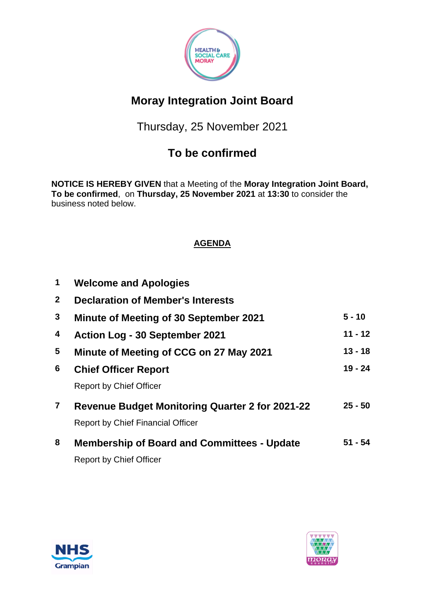

# **Moray Integration Joint Board**

Thursday, 25 November 2021

## **To be confirmed**

**NOTICE IS HEREBY GIVEN** that a Meeting of the **Moray Integration Joint Board, To be confirmed**, on **Thursday, 25 November 2021** at **13:30** to consider the business noted below.

### **AGENDA**

| $\mathbf 1$     | <b>Welcome and Apologies</b>                                                                       |           |
|-----------------|----------------------------------------------------------------------------------------------------|-----------|
| $\mathbf{2}$    | <b>Declaration of Member's Interests</b>                                                           |           |
| $3\phantom{a}$  | <b>Minute of Meeting of 30 September 2021</b>                                                      | $5 - 10$  |
| 4               | <b>Action Log - 30 September 2021</b>                                                              | $11 - 12$ |
| $5\phantom{.0}$ | Minute of Meeting of CCG on 27 May 2021                                                            | $13 - 18$ |
| 6               | <b>Chief Officer Report</b>                                                                        | $19 - 24$ |
|                 | <b>Report by Chief Officer</b>                                                                     |           |
| $\mathbf{7}$    | <b>Revenue Budget Monitoring Quarter 2 for 2021-22</b><br><b>Report by Chief Financial Officer</b> | $25 - 50$ |
| 8               | <b>Membership of Board and Committees - Update</b><br><b>Report by Chief Officer</b>               | $51 - 54$ |



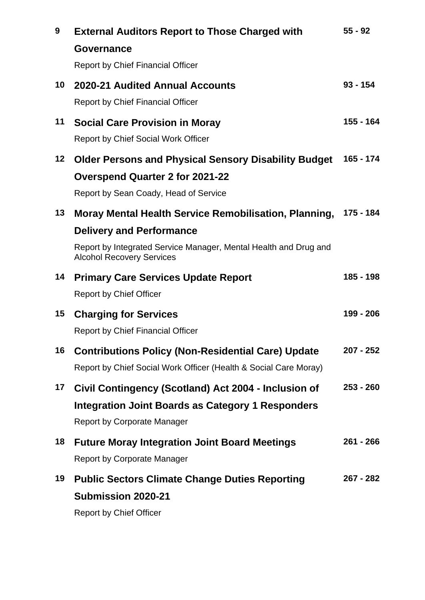| 9       | <b>External Auditors Report to Those Charged with</b>                                                | $55 - 92$   |
|---------|------------------------------------------------------------------------------------------------------|-------------|
|         | Governance                                                                                           |             |
|         | <b>Report by Chief Financial Officer</b>                                                             |             |
| 10      | 2020-21 Audited Annual Accounts                                                                      | $93 - 154$  |
|         | <b>Report by Chief Financial Officer</b>                                                             |             |
| 11      | <b>Social Care Provision in Moray</b>                                                                | 155 - 164   |
|         | <b>Report by Chief Social Work Officer</b>                                                           |             |
| $12 \,$ | <b>Older Persons and Physical Sensory Disability Budget</b>                                          | 165 - 174   |
|         | <b>Overspend Quarter 2 for 2021-22</b>                                                               |             |
|         | Report by Sean Coady, Head of Service                                                                |             |
| 13      | <b>Moray Mental Health Service Remobilisation, Planning,</b>                                         | 175 - 184   |
|         | <b>Delivery and Performance</b>                                                                      |             |
|         | Report by Integrated Service Manager, Mental Health and Drug and<br><b>Alcohol Recovery Services</b> |             |
| 14      | <b>Primary Care Services Update Report</b>                                                           | 185 - 198   |
|         | <b>Report by Chief Officer</b>                                                                       |             |
| 15      | <b>Charging for Services</b>                                                                         | 199 - 206   |
|         | <b>Report by Chief Financial Officer</b>                                                             |             |
| 16      | <b>Contributions Policy (Non-Residential Care) Update</b>                                            | $207 - 252$ |
|         | Report by Chief Social Work Officer (Health & Social Care Moray)                                     |             |
| 17      | Civil Contingency (Scotland) Act 2004 - Inclusion of                                                 | $253 - 260$ |
|         | <b>Integration Joint Boards as Category 1 Responders</b>                                             |             |
|         | <b>Report by Corporate Manager</b>                                                                   |             |
| 18      | <b>Future Moray Integration Joint Board Meetings</b>                                                 | $261 - 266$ |
|         | <b>Report by Corporate Manager</b>                                                                   |             |
| 19      | <b>Public Sectors Climate Change Duties Reporting</b>                                                | $267 - 282$ |
|         | <b>Submission 2020-21</b>                                                                            |             |
|         | <b>Report by Chief Officer</b>                                                                       |             |